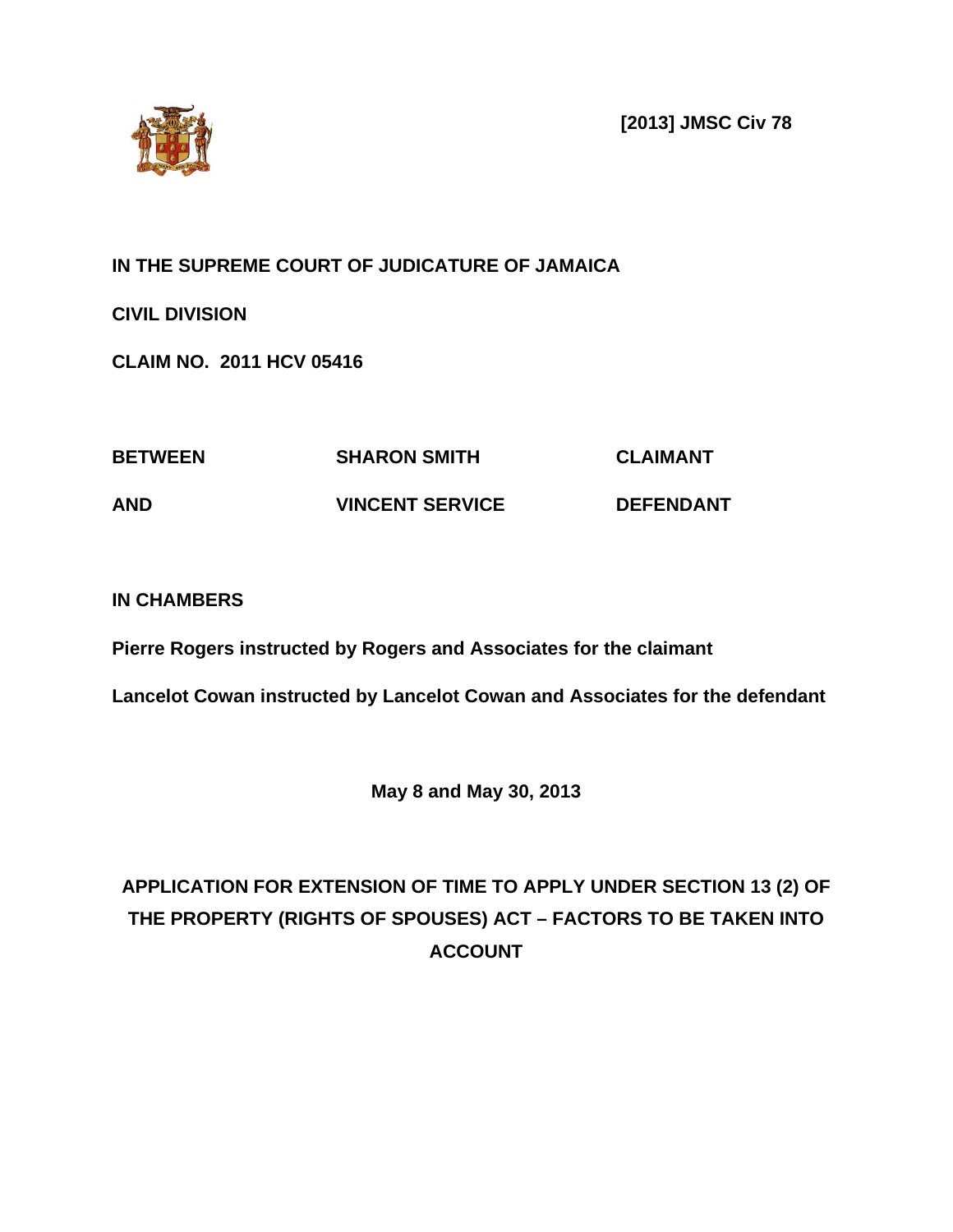**[2013] JMSC Civ 78**



**IN THE SUPREME COURT OF JUDICATURE OF JAMAICA**

**CIVIL DIVISION**

**CLAIM NO. 2011 HCV 05416**

| <b>BETWEEN</b> | <b>SHARON SMITH</b>    | <b>CLAIMANT</b>  |
|----------------|------------------------|------------------|
| <b>AND</b>     | <b>VINCENT SERVICE</b> | <b>DEFENDANT</b> |

# **IN CHAMBERS**

**Pierre Rogers instructed by Rogers and Associates for the claimant**

**Lancelot Cowan instructed by Lancelot Cowan and Associates for the defendant**

**May 8 and May 30, 2013**

# **APPLICATION FOR EXTENSION OF TIME TO APPLY UNDER SECTION 13 (2) OF THE PROPERTY (RIGHTS OF SPOUSES) ACT – FACTORS TO BE TAKEN INTO ACCOUNT**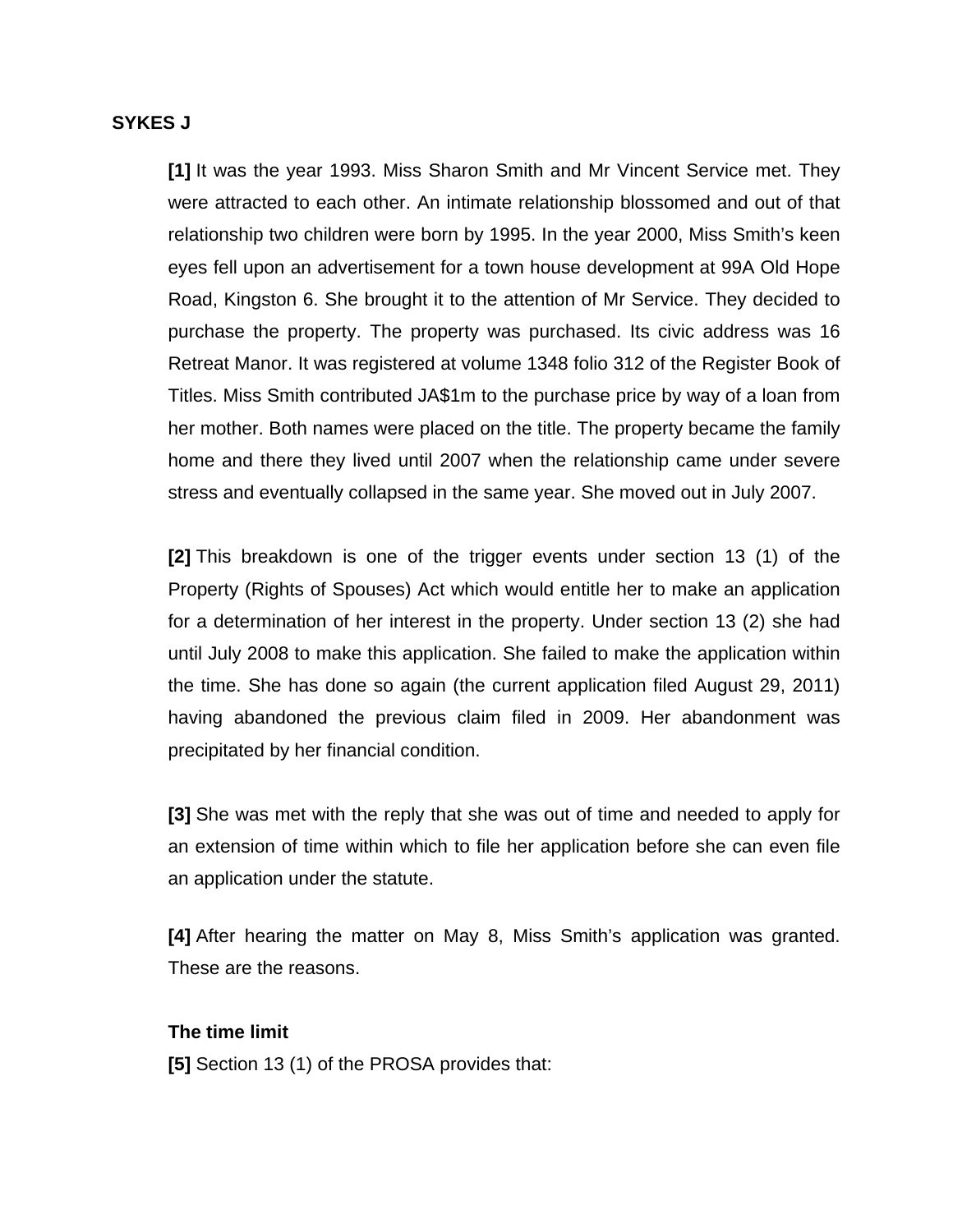#### **SYKES J**

**[1]** It was the year 1993. Miss Sharon Smith and Mr Vincent Service met. They were attracted to each other. An intimate relationship blossomed and out of that relationship two children were born by 1995. In the year 2000, Miss Smith's keen eyes fell upon an advertisement for a town house development at 99A Old Hope Road, Kingston 6. She brought it to the attention of Mr Service. They decided to purchase the property. The property was purchased. Its civic address was 16 Retreat Manor. It was registered at volume 1348 folio 312 of the Register Book of Titles. Miss Smith contributed JA\$1m to the purchase price by way of a loan from her mother. Both names were placed on the title. The property became the family home and there they lived until 2007 when the relationship came under severe stress and eventually collapsed in the same year. She moved out in July 2007.

**[2]** This breakdown is one of the trigger events under section 13 (1) of the Property (Rights of Spouses) Act which would entitle her to make an application for a determination of her interest in the property. Under section 13 (2) she had until July 2008 to make this application. She failed to make the application within the time. She has done so again (the current application filed August 29, 2011) having abandoned the previous claim filed in 2009. Her abandonment was precipitated by her financial condition.

**[3]** She was met with the reply that she was out of time and needed to apply for an extension of time within which to file her application before she can even file an application under the statute.

**[4]** After hearing the matter on May 8, Miss Smith's application was granted. These are the reasons.

#### **The time limit**

**[5]** Section 13 (1) of the PROSA provides that: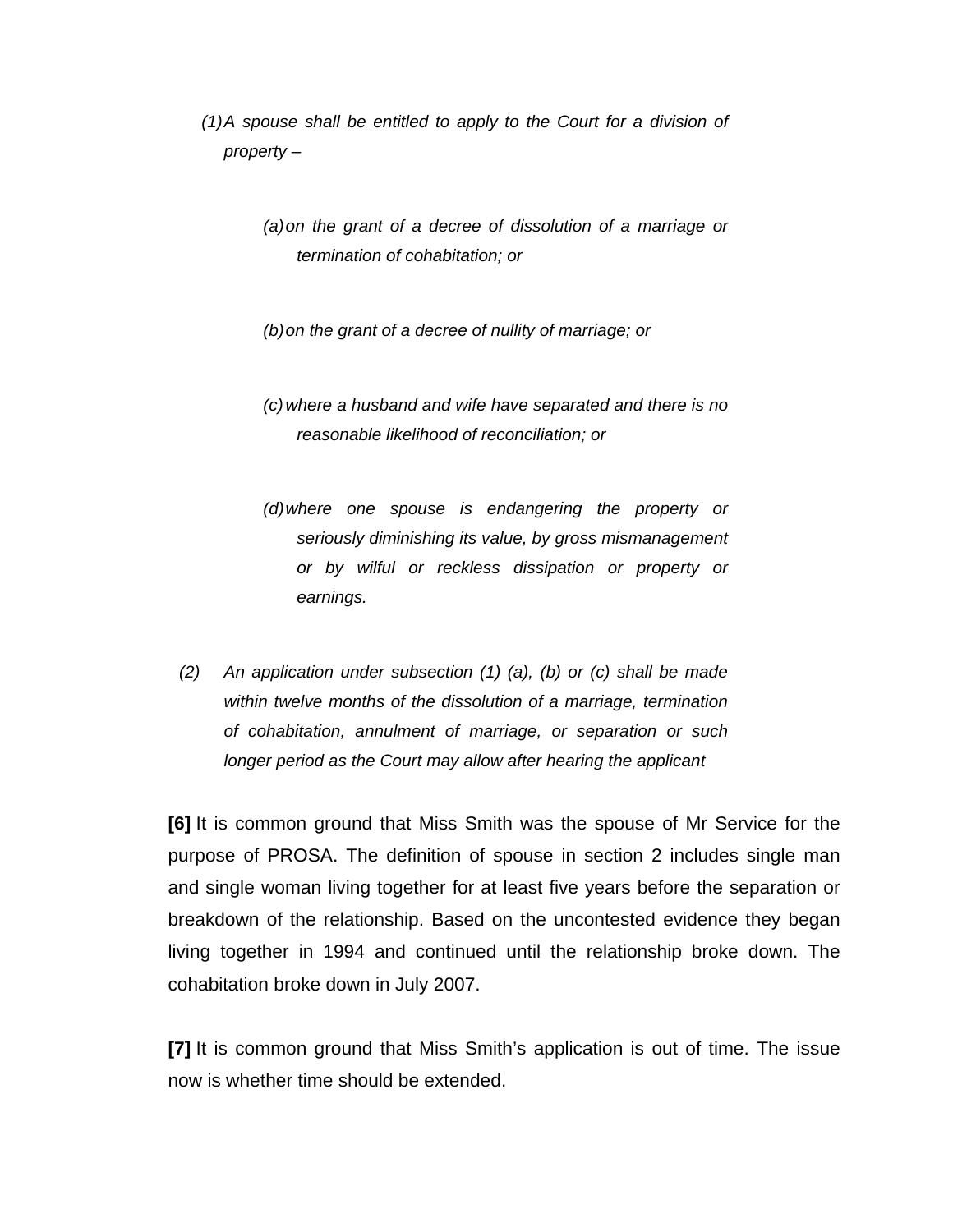*(1)A spouse shall be entitled to apply to the Court for a division of property –*

> *(a)on the grant of a decree of dissolution of a marriage or termination of cohabitation; or*

*(b)on the grant of a decree of nullity of marriage; or*

- *(c)where a husband and wife have separated and there is no reasonable likelihood of reconciliation; or*
- *(d)where one spouse is endangering the property or seriously diminishing its value, by gross mismanagement or by wilful or reckless dissipation or property or earnings.*
- *(2) An application under subsection (1) (a), (b) or (c) shall be made within twelve months of the dissolution of a marriage, termination of cohabitation, annulment of marriage, or separation or such longer period as the Court may allow after hearing the applicant*

**[6]** It is common ground that Miss Smith was the spouse of Mr Service for the purpose of PROSA. The definition of spouse in section 2 includes single man and single woman living together for at least five years before the separation or breakdown of the relationship. Based on the uncontested evidence they began living together in 1994 and continued until the relationship broke down. The cohabitation broke down in July 2007.

**[7]** It is common ground that Miss Smith's application is out of time. The issue now is whether time should be extended.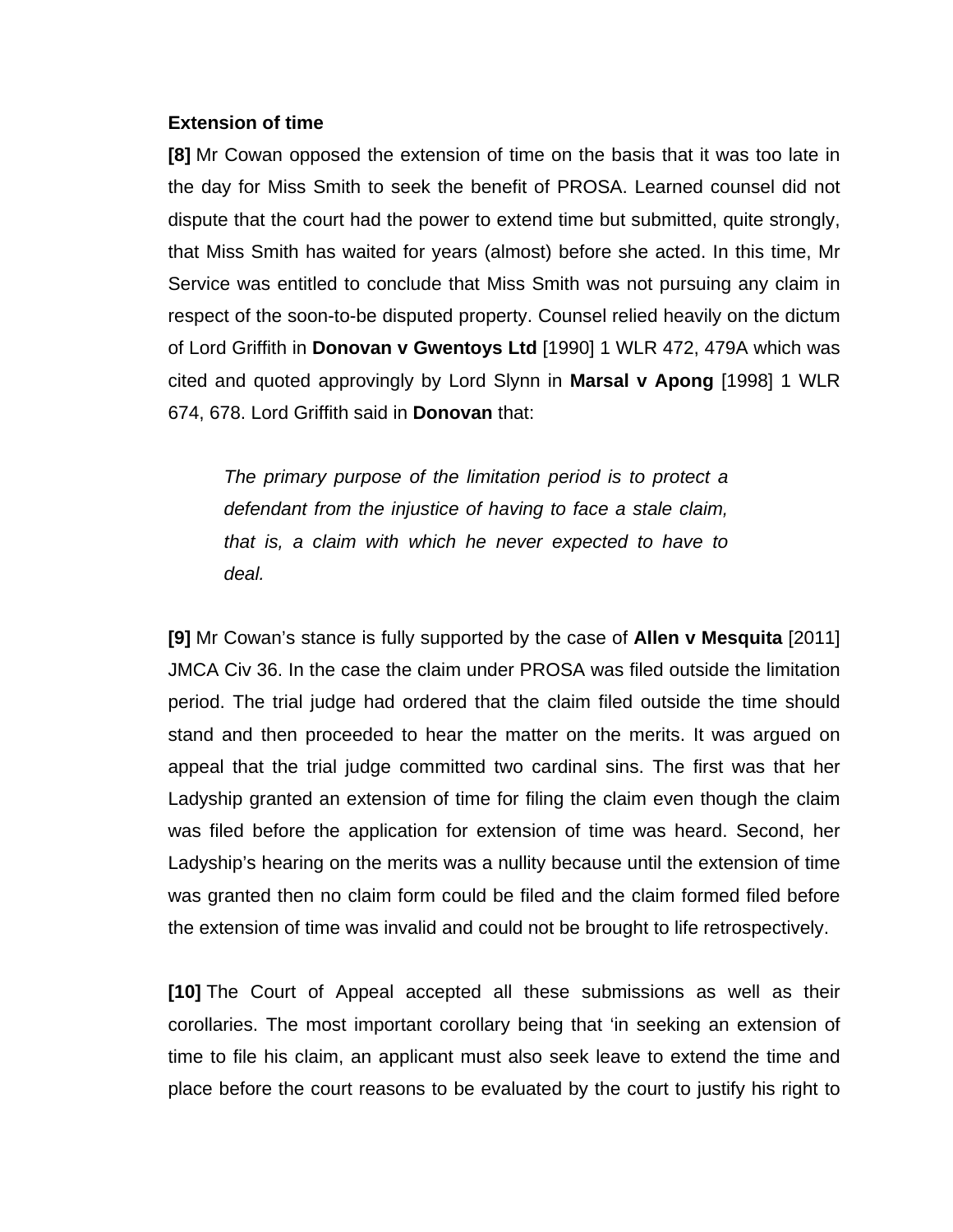#### **Extension of time**

**[8]** Mr Cowan opposed the extension of time on the basis that it was too late in the day for Miss Smith to seek the benefit of PROSA. Learned counsel did not dispute that the court had the power to extend time but submitted, quite strongly, that Miss Smith has waited for years (almost) before she acted. In this time, Mr Service was entitled to conclude that Miss Smith was not pursuing any claim in respect of the soon-to-be disputed property. Counsel relied heavily on the dictum of Lord Griffith in **Donovan v Gwentoys Ltd** [1990] 1 WLR 472, 479A which was cited and quoted approvingly by Lord Slynn in **Marsal v Apong** [1998] 1 WLR 674, 678. Lord Griffith said in **Donovan** that:

*The primary purpose of the limitation period is to protect a defendant from the injustice of having to face a stale claim, that is, a claim with which he never expected to have to deal.*

**[9]** Mr Cowan's stance is fully supported by the case of **Allen v Mesquita** [2011] JMCA Civ 36. In the case the claim under PROSA was filed outside the limitation period. The trial judge had ordered that the claim filed outside the time should stand and then proceeded to hear the matter on the merits. It was argued on appeal that the trial judge committed two cardinal sins. The first was that her Ladyship granted an extension of time for filing the claim even though the claim was filed before the application for extension of time was heard. Second, her Ladyship's hearing on the merits was a nullity because until the extension of time was granted then no claim form could be filed and the claim formed filed before the extension of time was invalid and could not be brought to life retrospectively.

**[10]** The Court of Appeal accepted all these submissions as well as their corollaries. The most important corollary being that 'in seeking an extension of time to file his claim, an applicant must also seek leave to extend the time and place before the court reasons to be evaluated by the court to justify his right to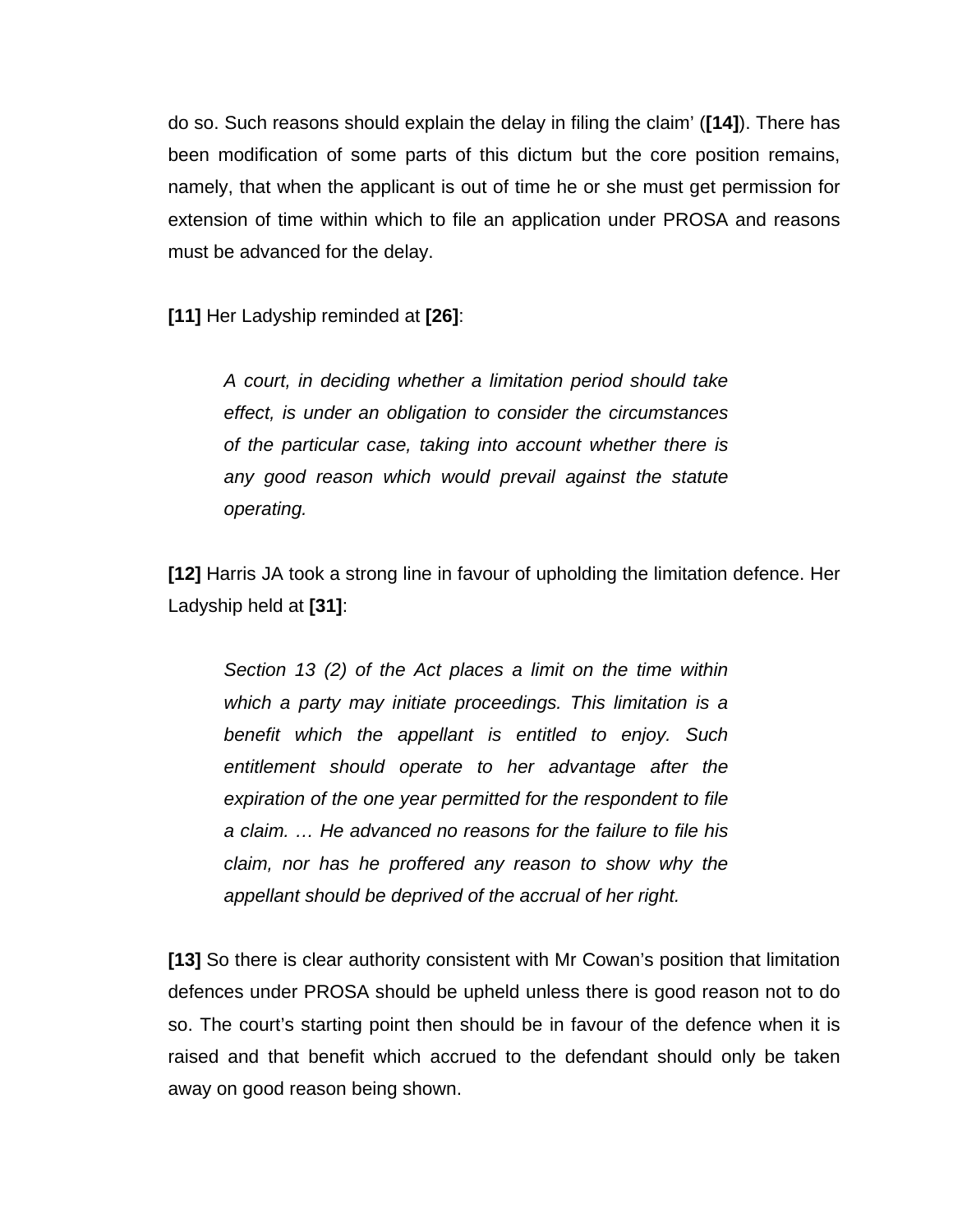do so. Such reasons should explain the delay in filing the claim' (**[14]**). There has been modification of some parts of this dictum but the core position remains, namely, that when the applicant is out of time he or she must get permission for extension of time within which to file an application under PROSA and reasons must be advanced for the delay.

**[11]** Her Ladyship reminded at **[26]**:

*A court, in deciding whether a limitation period should take effect, is under an obligation to consider the circumstances of the particular case, taking into account whether there is any good reason which would prevail against the statute operating.* 

**[12]** Harris JA took a strong line in favour of upholding the limitation defence. Her Ladyship held at **[31]**:

*Section 13 (2) of the Act places a limit on the time within which a party may initiate proceedings. This limitation is a benefit which the appellant is entitled to enjoy. Such entitlement should operate to her advantage after the expiration of the one year permitted for the respondent to file a claim. … He advanced no reasons for the failure to file his claim, nor has he proffered any reason to show why the appellant should be deprived of the accrual of her right.* 

**[13]** So there is clear authority consistent with Mr Cowan's position that limitation defences under PROSA should be upheld unless there is good reason not to do so. The court's starting point then should be in favour of the defence when it is raised and that benefit which accrued to the defendant should only be taken away on good reason being shown.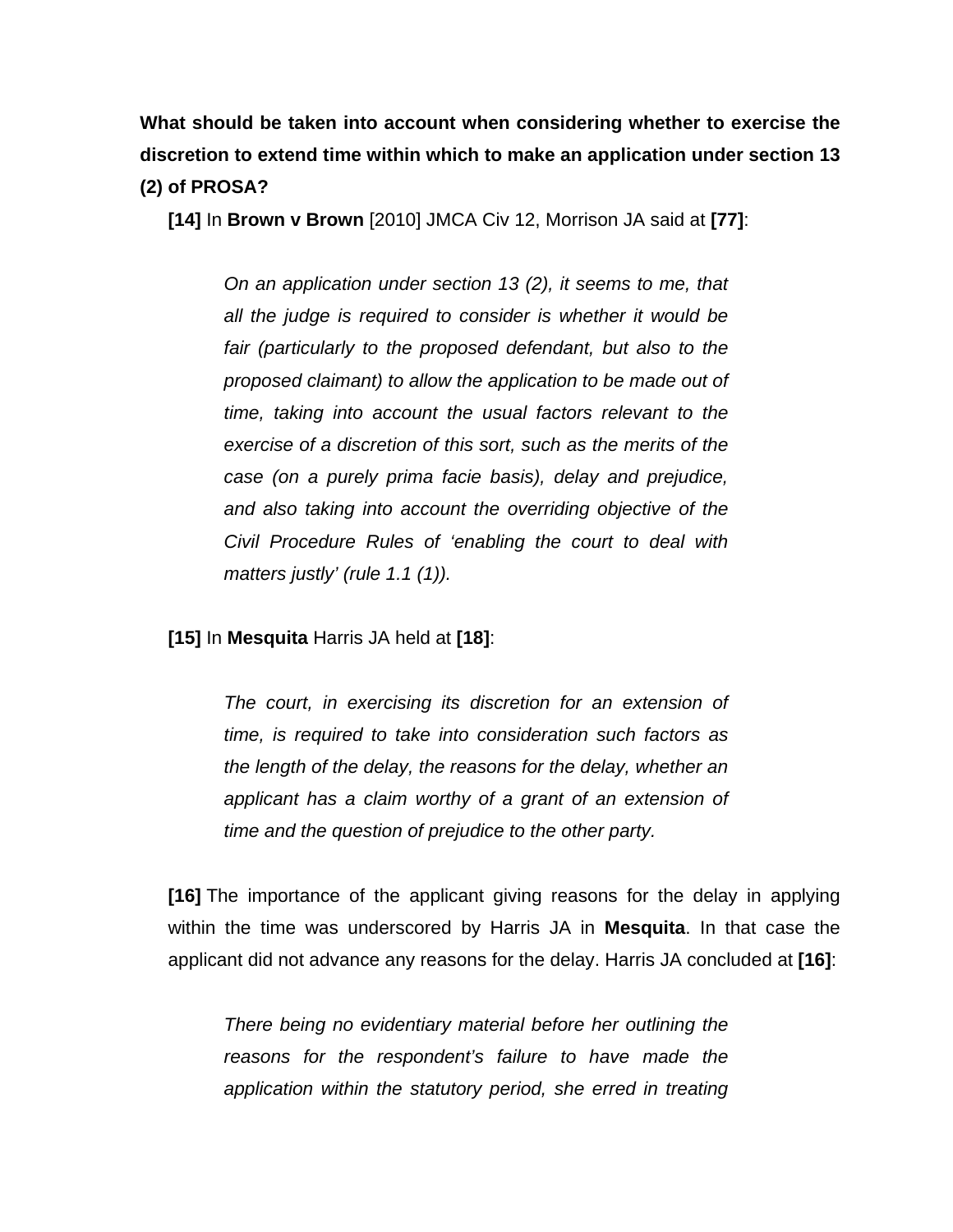**What should be taken into account when considering whether to exercise the discretion to extend time within which to make an application under section 13 (2) of PROSA?**

**[14]** In **Brown v Brown** [2010] JMCA Civ 12, Morrison JA said at **[77]**:

*On an application under section 13 (2), it seems to me, that all the judge is required to consider is whether it would be fair (particularly to the proposed defendant, but also to the proposed claimant) to allow the application to be made out of time, taking into account the usual factors relevant to the exercise of a discretion of this sort, such as the merits of the case (on a purely prima facie basis), delay and prejudice, and also taking into account the overriding objective of the Civil Procedure Rules of 'enabling the court to deal with matters justly' (rule 1.1 (1)).*

**[15]** In **Mesquita** Harris JA held at **[18]**:

*The court, in exercising its discretion for an extension of time, is required to take into consideration such factors as the length of the delay, the reasons for the delay, whether an applicant has a claim worthy of a grant of an extension of time and the question of prejudice to the other party.* 

**[16]** The importance of the applicant giving reasons for the delay in applying within the time was underscored by Harris JA in **Mesquita**. In that case the applicant did not advance any reasons for the delay. Harris JA concluded at **[16]**:

*There being no evidentiary material before her outlining the reasons for the respondent's failure to have made the application within the statutory period, she erred in treating*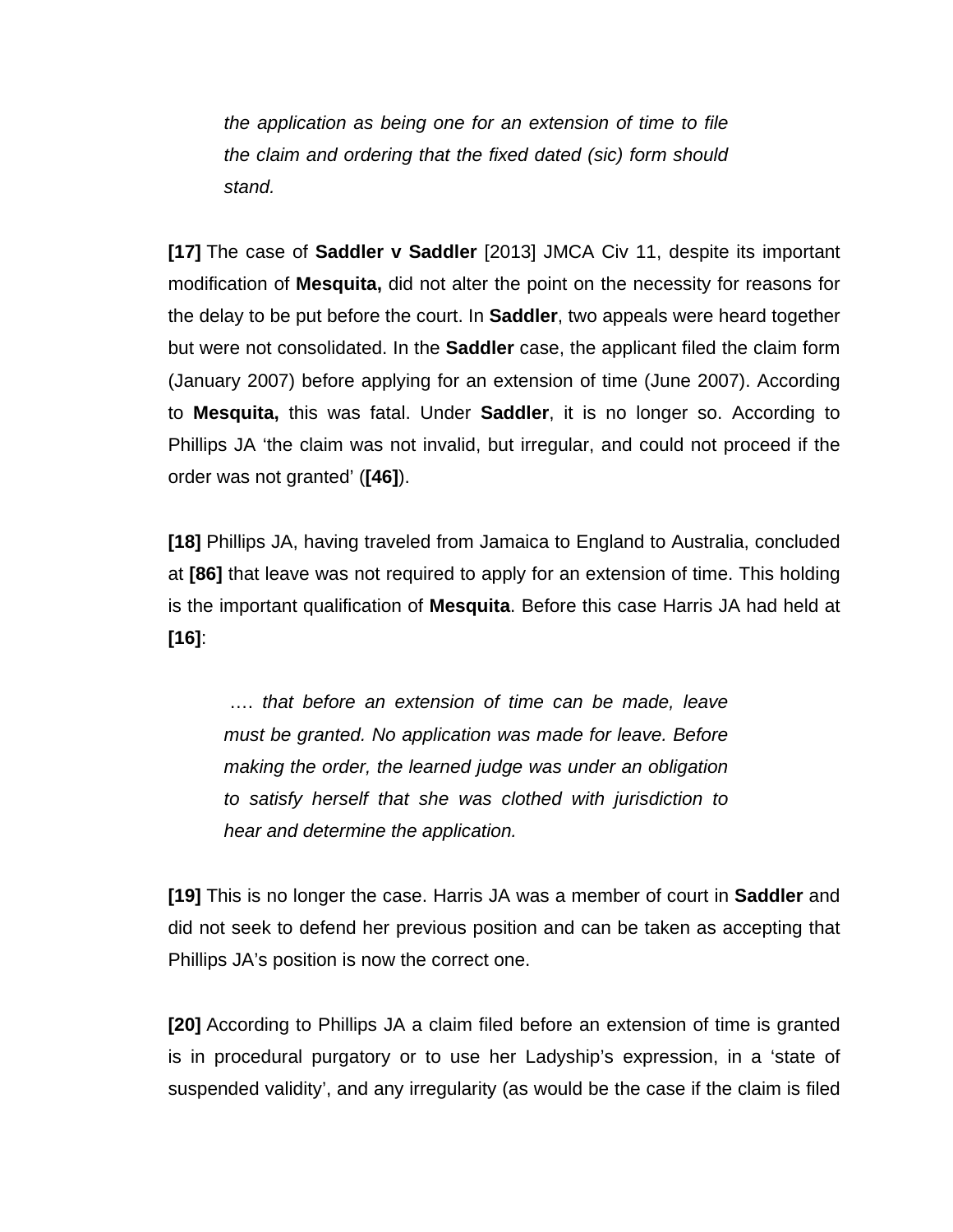*the application as being one for an extension of time to file the claim and ordering that the fixed dated (sic) form should stand.*

**[17]** The case of **Saddler v Saddler** [2013] JMCA Civ 11, despite its important modification of **Mesquita,** did not alter the point on the necessity for reasons for the delay to be put before the court. In **Saddler**, two appeals were heard together but were not consolidated. In the **Saddler** case, the applicant filed the claim form (January 2007) before applying for an extension of time (June 2007). According to **Mesquita,** this was fatal. Under **Saddler**, it is no longer so. According to Phillips JA 'the claim was not invalid, but irregular, and could not proceed if the order was not granted' (**[46]**).

**[18]** Phillips JA, having traveled from Jamaica to England to Australia, concluded at **[86]** that leave was not required to apply for an extension of time. This holding is the important qualification of **Mesquita**. Before this case Harris JA had held at **[16]**:

…. *that before an extension of time can be made, leave must be granted. No application was made for leave. Before making the order, the learned judge was under an obligation to satisfy herself that she was clothed with jurisdiction to hear and determine the application.*

**[19]** This is no longer the case. Harris JA was a member of court in **Saddler** and did not seek to defend her previous position and can be taken as accepting that Phillips JA's position is now the correct one.

**[20]** According to Phillips JA a claim filed before an extension of time is granted is in procedural purgatory or to use her Ladyship's expression, in a 'state of suspended validity', and any irregularity (as would be the case if the claim is filed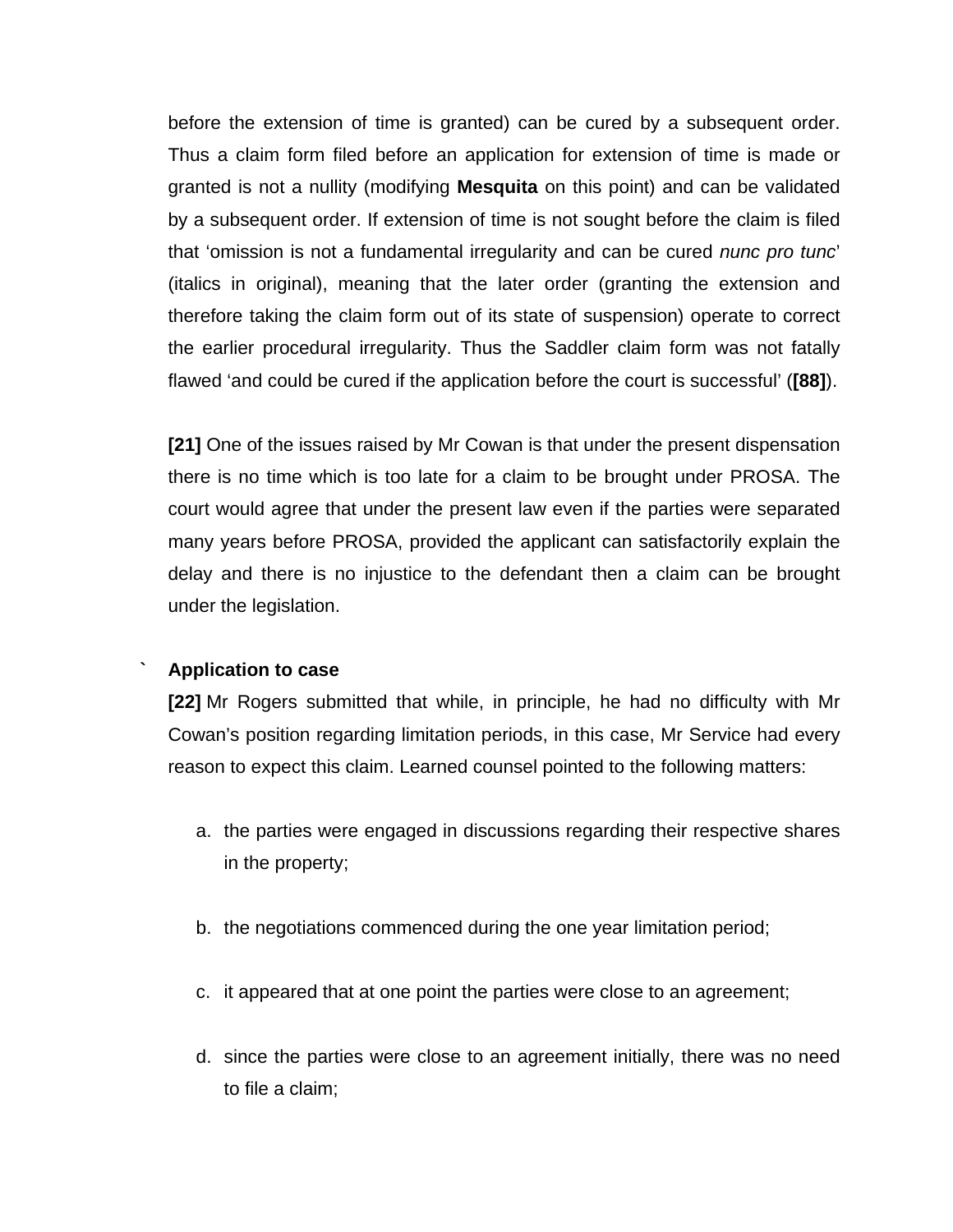before the extension of time is granted) can be cured by a subsequent order. Thus a claim form filed before an application for extension of time is made or granted is not a nullity (modifying **Mesquita** on this point) and can be validated by a subsequent order. If extension of time is not sought before the claim is filed that 'omission is not a fundamental irregularity and can be cured *nunc pro tunc*' (italics in original), meaning that the later order (granting the extension and therefore taking the claim form out of its state of suspension) operate to correct the earlier procedural irregularity. Thus the Saddler claim form was not fatally flawed 'and could be cured if the application before the court is successful' (**[88]**).

**[21]** One of the issues raised by Mr Cowan is that under the present dispensation there is no time which is too late for a claim to be brought under PROSA. The court would agree that under the present law even if the parties were separated many years before PROSA, provided the applicant can satisfactorily explain the delay and there is no injustice to the defendant then a claim can be brought under the legislation.

#### **` Application to case**

**[22]** Mr Rogers submitted that while, in principle, he had no difficulty with Mr Cowan's position regarding limitation periods, in this case, Mr Service had every reason to expect this claim. Learned counsel pointed to the following matters:

- a. the parties were engaged in discussions regarding their respective shares in the property;
- b. the negotiations commenced during the one year limitation period;
- c. it appeared that at one point the parties were close to an agreement;
- d. since the parties were close to an agreement initially, there was no need to file a claim;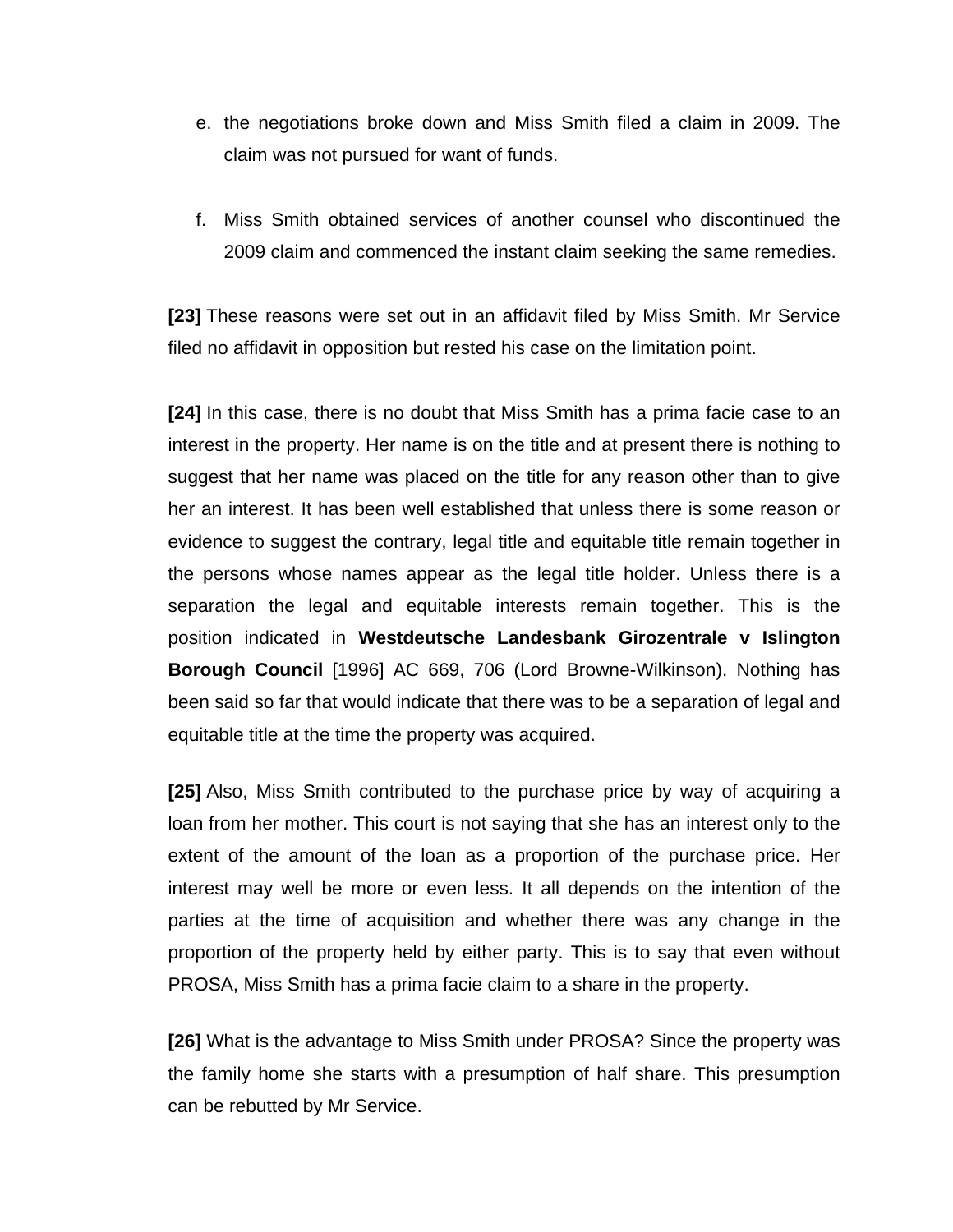- e. the negotiations broke down and Miss Smith filed a claim in 2009. The claim was not pursued for want of funds.
- f. Miss Smith obtained services of another counsel who discontinued the 2009 claim and commenced the instant claim seeking the same remedies.

**[23]** These reasons were set out in an affidavit filed by Miss Smith. Mr Service filed no affidavit in opposition but rested his case on the limitation point.

**[24]** In this case, there is no doubt that Miss Smith has a prima facie case to an interest in the property. Her name is on the title and at present there is nothing to suggest that her name was placed on the title for any reason other than to give her an interest. It has been well established that unless there is some reason or evidence to suggest the contrary, legal title and equitable title remain together in the persons whose names appear as the legal title holder. Unless there is a separation the legal and equitable interests remain together. This is the position indicated in **Westdeutsche Landesbank Girozentrale v Islington Borough Council** [1996] AC 669, 706 (Lord Browne-Wilkinson). Nothing has been said so far that would indicate that there was to be a separation of legal and equitable title at the time the property was acquired.

**[25]** Also, Miss Smith contributed to the purchase price by way of acquiring a loan from her mother. This court is not saying that she has an interest only to the extent of the amount of the loan as a proportion of the purchase price. Her interest may well be more or even less. It all depends on the intention of the parties at the time of acquisition and whether there was any change in the proportion of the property held by either party. This is to say that even without PROSA, Miss Smith has a prima facie claim to a share in the property.

**[26]** What is the advantage to Miss Smith under PROSA? Since the property was the family home she starts with a presumption of half share. This presumption can be rebutted by Mr Service.